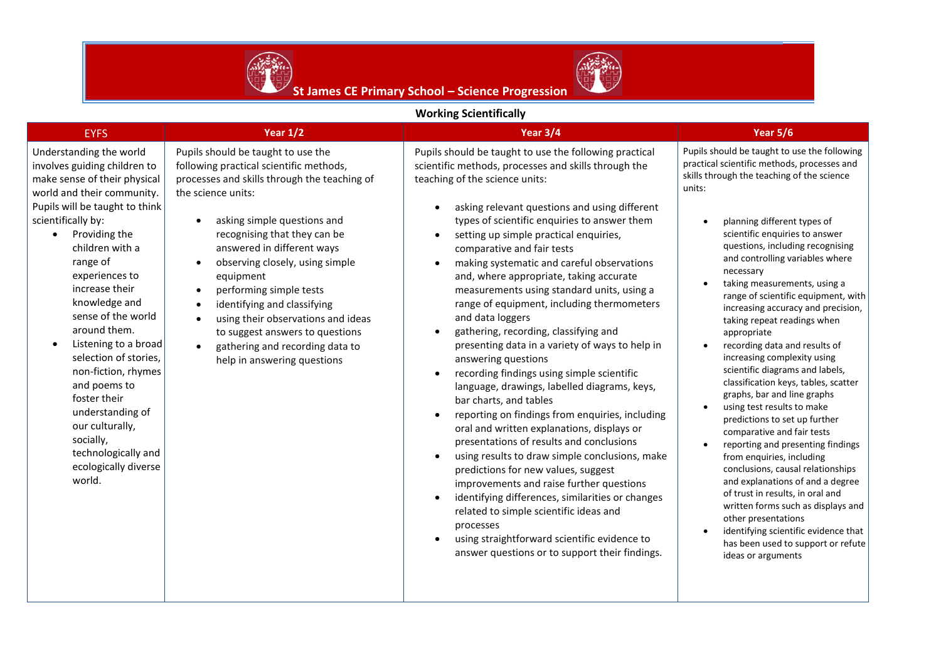



## **Working Scientifically**

| <b>WUINIIE SUEIKIIKAII</b>                                                                                                                                                                                                                                                                                                                                                                                                                                                                                                                                 |                                                                                                                                                                                                                                                                                                                                                                                                                                                                                                                                 |                                                                                                                                                                                                                                                                                                                                                                                                                                                                                                                                                                                                                                                                                                                                                                                                                                                                                                                                                                                                                                                                                                                                                                                                                                                                                                                                                                                                   |                                                                                                                                                                                                                                                                                                                                                                                                                                                                                                                                                                                                                                                                                                                                                                                                                                                                                                                                                                                                                                                                                                         |  |  |  |  |  |
|------------------------------------------------------------------------------------------------------------------------------------------------------------------------------------------------------------------------------------------------------------------------------------------------------------------------------------------------------------------------------------------------------------------------------------------------------------------------------------------------------------------------------------------------------------|---------------------------------------------------------------------------------------------------------------------------------------------------------------------------------------------------------------------------------------------------------------------------------------------------------------------------------------------------------------------------------------------------------------------------------------------------------------------------------------------------------------------------------|---------------------------------------------------------------------------------------------------------------------------------------------------------------------------------------------------------------------------------------------------------------------------------------------------------------------------------------------------------------------------------------------------------------------------------------------------------------------------------------------------------------------------------------------------------------------------------------------------------------------------------------------------------------------------------------------------------------------------------------------------------------------------------------------------------------------------------------------------------------------------------------------------------------------------------------------------------------------------------------------------------------------------------------------------------------------------------------------------------------------------------------------------------------------------------------------------------------------------------------------------------------------------------------------------------------------------------------------------------------------------------------------------|---------------------------------------------------------------------------------------------------------------------------------------------------------------------------------------------------------------------------------------------------------------------------------------------------------------------------------------------------------------------------------------------------------------------------------------------------------------------------------------------------------------------------------------------------------------------------------------------------------------------------------------------------------------------------------------------------------------------------------------------------------------------------------------------------------------------------------------------------------------------------------------------------------------------------------------------------------------------------------------------------------------------------------------------------------------------------------------------------------|--|--|--|--|--|
| <b>EYFS</b>                                                                                                                                                                                                                                                                                                                                                                                                                                                                                                                                                | Year $1/2$                                                                                                                                                                                                                                                                                                                                                                                                                                                                                                                      | Year 3/4                                                                                                                                                                                                                                                                                                                                                                                                                                                                                                                                                                                                                                                                                                                                                                                                                                                                                                                                                                                                                                                                                                                                                                                                                                                                                                                                                                                          | <b>Year 5/6</b>                                                                                                                                                                                                                                                                                                                                                                                                                                                                                                                                                                                                                                                                                                                                                                                                                                                                                                                                                                                                                                                                                         |  |  |  |  |  |
| Understanding the world<br>involves guiding children to<br>make sense of their physical<br>world and their community.<br>Pupils will be taught to think<br>scientifically by:<br>Providing the<br>$\bullet$<br>children with a<br>range of<br>experiences to<br>increase their<br>knowledge and<br>sense of the world<br>around them.<br>Listening to a broad<br>selection of stories,<br>non-fiction, rhymes<br>and poems to<br>foster their<br>understanding of<br>our culturally,<br>socially,<br>technologically and<br>ecologically diverse<br>world. | Pupils should be taught to use the<br>following practical scientific methods,<br>processes and skills through the teaching of<br>the science units:<br>asking simple questions and<br>recognising that they can be<br>answered in different ways<br>observing closely, using simple<br>$\bullet$<br>equipment<br>performing simple tests<br>identifying and classifying<br>$\bullet$<br>using their observations and ideas<br>to suggest answers to questions<br>gathering and recording data to<br>help in answering questions | Pupils should be taught to use the following practical<br>scientific methods, processes and skills through the<br>teaching of the science units:<br>asking relevant questions and using different<br>$\bullet$<br>types of scientific enquiries to answer them<br>setting up simple practical enquiries,<br>$\bullet$<br>comparative and fair tests<br>making systematic and careful observations<br>$\bullet$<br>and, where appropriate, taking accurate<br>measurements using standard units, using a<br>range of equipment, including thermometers<br>and data loggers<br>gathering, recording, classifying and<br>$\bullet$<br>presenting data in a variety of ways to help in<br>answering questions<br>recording findings using simple scientific<br>$\bullet$<br>language, drawings, labelled diagrams, keys,<br>bar charts, and tables<br>reporting on findings from enquiries, including<br>$\bullet$<br>oral and written explanations, displays or<br>presentations of results and conclusions<br>using results to draw simple conclusions, make<br>$\bullet$<br>predictions for new values, suggest<br>improvements and raise further questions<br>identifying differences, similarities or changes<br>$\bullet$<br>related to simple scientific ideas and<br>processes<br>using straightforward scientific evidence to<br>$\bullet$<br>answer questions or to support their findings. | Pupils should be taught to use the following<br>practical scientific methods, processes and<br>skills through the teaching of the science<br>units:<br>planning different types of<br>scientific enquiries to answer<br>questions, including recognising<br>and controlling variables where<br>necessary<br>taking measurements, using a<br>range of scientific equipment, with<br>increasing accuracy and precision,<br>taking repeat readings when<br>appropriate<br>recording data and results of<br>increasing complexity using<br>scientific diagrams and labels,<br>classification keys, tables, scatter<br>graphs, bar and line graphs<br>using test results to make<br>predictions to set up further<br>comparative and fair tests<br>reporting and presenting findings<br>$\bullet$<br>from enquiries, including<br>conclusions, causal relationships<br>and explanations of and a degree<br>of trust in results, in oral and<br>written forms such as displays and<br>other presentations<br>identifying scientific evidence that<br>has been used to support or refute<br>ideas or arguments |  |  |  |  |  |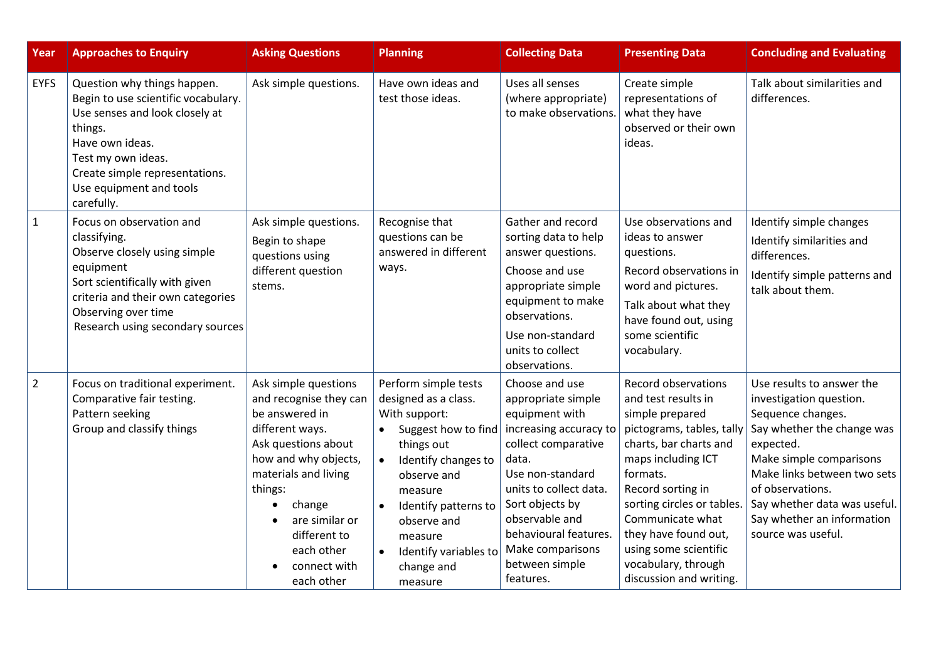| Year           | <b>Approaches to Enquiry</b>                                                                                                                                                                                                        | <b>Asking Questions</b>                                                                                                                                                                                                                                       | <b>Planning</b>                                                                                                                                                                                                                                                                                | <b>Collecting Data</b>                                                                                                                                                                                                                                                          | <b>Presenting Data</b>                                                                                                                                                                                                                                                                                                                 | <b>Concluding and Evaluating</b>                                                                                                                                                                                                                                                       |
|----------------|-------------------------------------------------------------------------------------------------------------------------------------------------------------------------------------------------------------------------------------|---------------------------------------------------------------------------------------------------------------------------------------------------------------------------------------------------------------------------------------------------------------|------------------------------------------------------------------------------------------------------------------------------------------------------------------------------------------------------------------------------------------------------------------------------------------------|---------------------------------------------------------------------------------------------------------------------------------------------------------------------------------------------------------------------------------------------------------------------------------|----------------------------------------------------------------------------------------------------------------------------------------------------------------------------------------------------------------------------------------------------------------------------------------------------------------------------------------|----------------------------------------------------------------------------------------------------------------------------------------------------------------------------------------------------------------------------------------------------------------------------------------|
| <b>EYFS</b>    | Question why things happen.<br>Begin to use scientific vocabulary.<br>Use senses and look closely at<br>things.<br>Have own ideas.<br>Test my own ideas.<br>Create simple representations.<br>Use equipment and tools<br>carefully. | Ask simple questions.                                                                                                                                                                                                                                         | Have own ideas and<br>test those ideas.                                                                                                                                                                                                                                                        | Uses all senses<br>(where appropriate)<br>to make observations.                                                                                                                                                                                                                 | Create simple<br>representations of<br>what they have<br>observed or their own<br>ideas.                                                                                                                                                                                                                                               | Talk about similarities and<br>differences.                                                                                                                                                                                                                                            |
| $1\,$          | Focus on observation and<br>classifying.<br>Observe closely using simple<br>equipment<br>Sort scientifically with given<br>criteria and their own categories<br>Observing over time<br>Research using secondary sources             | Ask simple questions.<br>Begin to shape<br>questions using<br>different question<br>stems.                                                                                                                                                                    | Recognise that<br>questions can be<br>answered in different<br>ways.                                                                                                                                                                                                                           | Gather and record<br>sorting data to help<br>answer questions.<br>Choose and use<br>appropriate simple<br>equipment to make<br>observations.<br>Use non-standard<br>units to collect<br>observations.                                                                           | Use observations and<br>ideas to answer<br>questions.<br>Record observations in<br>word and pictures.<br>Talk about what they<br>have found out, using<br>some scientific<br>vocabulary.                                                                                                                                               | Identify simple changes<br>Identify similarities and<br>differences.<br>Identify simple patterns and<br>talk about them.                                                                                                                                                               |
| $\overline{2}$ | Focus on traditional experiment.<br>Comparative fair testing.<br>Pattern seeking<br>Group and classify things                                                                                                                       | Ask simple questions<br>and recognise they can<br>be answered in<br>different ways.<br>Ask questions about<br>how and why objects,<br>materials and living<br>things:<br>change<br>are similar or<br>different to<br>each other<br>connect with<br>each other | Perform simple tests<br>designed as a class.<br>With support:<br>Suggest how to find<br>things out<br>Identify changes to<br>$\bullet$<br>observe and<br>measure<br>Identify patterns to<br>$\bullet$<br>observe and<br>measure<br>Identify variables to<br>$\bullet$<br>change and<br>measure | Choose and use<br>appropriate simple<br>equipment with<br>increasing accuracy to<br>collect comparative<br>data.<br>Use non-standard<br>units to collect data.<br>Sort objects by<br>observable and<br>behavioural features.<br>Make comparisons<br>between simple<br>features. | <b>Record observations</b><br>and test results in<br>simple prepared<br>pictograms, tables, tally<br>charts, bar charts and<br>maps including ICT<br>formats.<br>Record sorting in<br>sorting circles or tables<br>Communicate what<br>they have found out,<br>using some scientific<br>vocabulary, through<br>discussion and writing. | Use results to answer the<br>investigation question.<br>Sequence changes.<br>Say whether the change was<br>expected.<br>Make simple comparisons<br>Make links between two sets<br>of observations.<br>Say whether data was useful.<br>Say whether an information<br>source was useful. |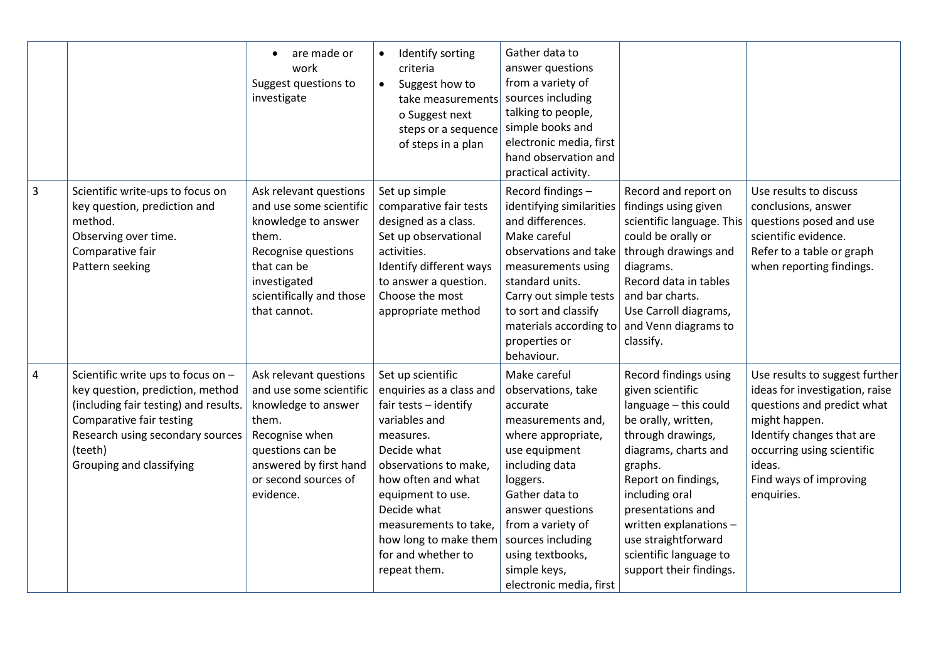|                |                                                                                                                                                                                                                        | are made or<br>$\bullet$<br>work<br>Suggest questions to<br>investigate                                                                                                                | Identify sorting<br>$\bullet$<br>criteria<br>Suggest how to<br>$\bullet$<br>take measurements<br>o Suggest next<br>steps or a sequence<br>of steps in a plan                                                                                                                                   | Gather data to<br>answer questions<br>from a variety of<br>sources including<br>talking to people,<br>simple books and<br>electronic media, first<br>hand observation and<br>practical activity.                                                                                        |                                                                                                                                                                                                                                                                                                                       |                                                                                                                                                                                                                              |
|----------------|------------------------------------------------------------------------------------------------------------------------------------------------------------------------------------------------------------------------|----------------------------------------------------------------------------------------------------------------------------------------------------------------------------------------|------------------------------------------------------------------------------------------------------------------------------------------------------------------------------------------------------------------------------------------------------------------------------------------------|-----------------------------------------------------------------------------------------------------------------------------------------------------------------------------------------------------------------------------------------------------------------------------------------|-----------------------------------------------------------------------------------------------------------------------------------------------------------------------------------------------------------------------------------------------------------------------------------------------------------------------|------------------------------------------------------------------------------------------------------------------------------------------------------------------------------------------------------------------------------|
| $\mathsf{3}$   | Scientific write-ups to focus on<br>key question, prediction and<br>method.<br>Observing over time.<br>Comparative fair<br>Pattern seeking                                                                             | Ask relevant questions<br>and use some scientific<br>knowledge to answer<br>them.<br>Recognise questions<br>that can be<br>investigated<br>scientifically and those<br>that cannot.    | Set up simple<br>comparative fair tests<br>designed as a class.<br>Set up observational<br>activities.<br>Identify different ways<br>to answer a question.<br>Choose the most<br>appropriate method                                                                                            | Record findings -<br>identifying similarities<br>and differences.<br>Make careful<br>observations and take<br>measurements using<br>standard units.<br>Carry out simple tests<br>to sort and classify<br>materials according to<br>properties or<br>behaviour.                          | Record and report on<br>findings using given<br>scientific language. This<br>could be orally or<br>through drawings and<br>diagrams.<br>Record data in tables<br>and bar charts.<br>Use Carroll diagrams,<br>and Venn diagrams to<br>classify.                                                                        | Use results to discuss<br>conclusions, answer<br>questions posed and use<br>scientific evidence.<br>Refer to a table or graph<br>when reporting findings.                                                                    |
| $\overline{4}$ | Scientific write ups to focus on -<br>key question, prediction, method<br>(including fair testing) and results.<br>Comparative fair testing<br>Research using secondary sources<br>(teeth)<br>Grouping and classifying | Ask relevant questions<br>and use some scientific<br>knowledge to answer<br>them.<br>Recognise when<br>questions can be<br>answered by first hand<br>or second sources of<br>evidence. | Set up scientific<br>enquiries as a class and<br>fair tests - identify<br>variables and<br>measures.<br>Decide what<br>observations to make,<br>how often and what<br>equipment to use.<br>Decide what<br>measurements to take,<br>how long to make them<br>for and whether to<br>repeat them. | Make careful<br>observations, take<br>accurate<br>measurements and,<br>where appropriate,<br>use equipment<br>including data<br>loggers.<br>Gather data to<br>answer questions<br>from a variety of<br>sources including<br>using textbooks,<br>simple keys,<br>electronic media, first | Record findings using<br>given scientific<br>language - this could<br>be orally, written,<br>through drawings,<br>diagrams, charts and<br>graphs.<br>Report on findings,<br>including oral<br>presentations and<br>written explanations -<br>use straightforward<br>scientific language to<br>support their findings. | Use results to suggest further<br>ideas for investigation, raise<br>questions and predict what<br>might happen.<br>Identify changes that are<br>occurring using scientific<br>ideas.<br>Find ways of improving<br>enquiries. |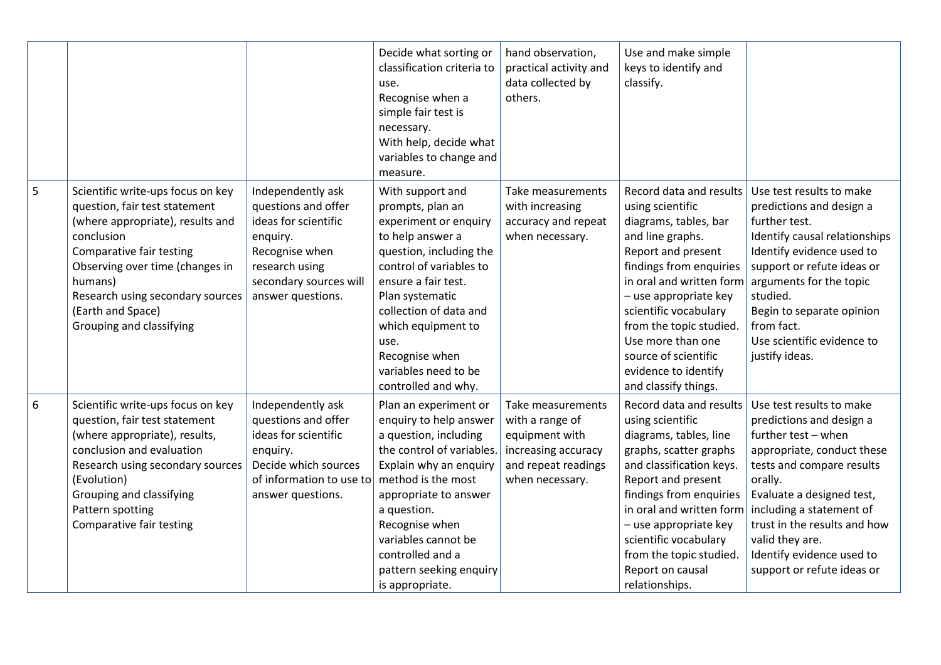|       |                                                                                                                                                                                                                                                                                     |                                                                                                                                                                 | Decide what sorting or<br>classification criteria to<br>use.<br>Recognise when a<br>simple fair test is<br>necessary.<br>With help, decide what<br>variables to change and<br>measure.                                                                                                                     | hand observation,<br>practical activity and<br>data collected by<br>others.                                             | Use and make simple<br>keys to identify and<br>classify.                                                                                                                                                                                                                                                                                        |                                                                                                                                                                                                                                                                                                                          |
|-------|-------------------------------------------------------------------------------------------------------------------------------------------------------------------------------------------------------------------------------------------------------------------------------------|-----------------------------------------------------------------------------------------------------------------------------------------------------------------|------------------------------------------------------------------------------------------------------------------------------------------------------------------------------------------------------------------------------------------------------------------------------------------------------------|-------------------------------------------------------------------------------------------------------------------------|-------------------------------------------------------------------------------------------------------------------------------------------------------------------------------------------------------------------------------------------------------------------------------------------------------------------------------------------------|--------------------------------------------------------------------------------------------------------------------------------------------------------------------------------------------------------------------------------------------------------------------------------------------------------------------------|
| 5     | Scientific write-ups focus on key<br>question, fair test statement<br>(where appropriate), results and<br>conclusion<br>Comparative fair testing<br>Observing over time (changes in<br>humans)<br>Research using secondary sources<br>(Earth and Space)<br>Grouping and classifying | Independently ask<br>questions and offer<br>ideas for scientific<br>enquiry.<br>Recognise when<br>research using<br>secondary sources will<br>answer questions. | With support and<br>prompts, plan an<br>experiment or enquiry<br>to help answer a<br>question, including the<br>control of variables to<br>ensure a fair test.<br>Plan systematic<br>collection of data and<br>which equipment to<br>use.<br>Recognise when<br>variables need to be<br>controlled and why. | Take measurements<br>with increasing<br>accuracy and repeat<br>when necessary.                                          | Record data and results<br>using scientific<br>diagrams, tables, bar<br>and line graphs.<br>Report and present<br>findings from enquiries<br>in oral and written form<br>- use appropriate key<br>scientific vocabulary<br>from the topic studied.<br>Use more than one<br>source of scientific<br>evidence to identify<br>and classify things. | Use test results to make<br>predictions and design a<br>further test.<br>Identify causal relationships<br>Identify evidence used to<br>support or refute ideas or<br>arguments for the topic<br>studied.<br>Begin to separate opinion<br>from fact.<br>Use scientific evidence to<br>justify ideas.                      |
| $6\,$ | Scientific write-ups focus on key<br>question, fair test statement<br>(where appropriate), results,<br>conclusion and evaluation<br>Research using secondary sources<br>(Evolution)<br>Grouping and classifying<br>Pattern spotting<br>Comparative fair testing                     | Independently ask<br>questions and offer<br>ideas for scientific<br>enquiry.<br>Decide which sources<br>of information to use to<br>answer questions.           | Plan an experiment or<br>enquiry to help answer<br>a question, including<br>the control of variables.<br>Explain why an enquiry<br>method is the most<br>appropriate to answer<br>a question.<br>Recognise when<br>variables cannot be<br>controlled and a<br>pattern seeking enquiry<br>is appropriate.   | Take measurements<br>with a range of<br>equipment with<br>increasing accuracy<br>and repeat readings<br>when necessary. | Record data and results<br>using scientific<br>diagrams, tables, line<br>graphs, scatter graphs<br>and classification keys.<br>Report and present<br>findings from enquiries<br>in oral and written form<br>- use appropriate key<br>scientific vocabulary<br>from the topic studied.<br>Report on causal<br>relationships.                     | Use test results to make<br>predictions and design a<br>further test - when<br>appropriate, conduct these<br>tests and compare results<br>orally.<br>Evaluate a designed test,<br>including a statement of<br>trust in the results and how<br>valid they are.<br>Identify evidence used to<br>support or refute ideas or |